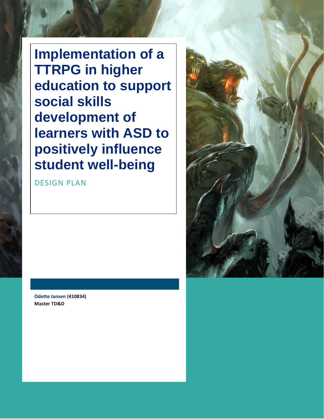**Implementation of a TTRPG in higher education to support social skills development of learners with ASD to positively influence student well-being**

DESIGN PLAN



**Odette Jansen (410834) Master TD&D**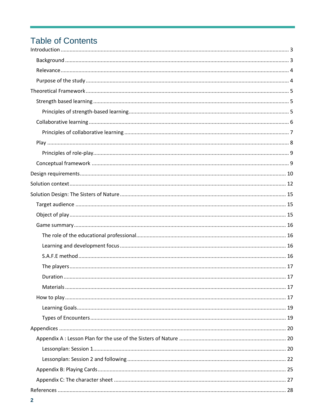## **Table of Contents**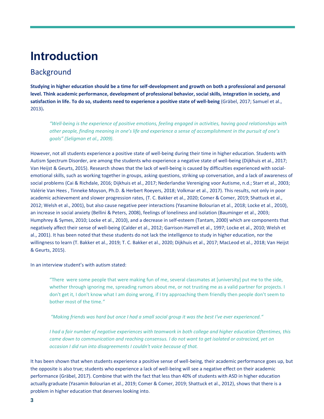# <span id="page-2-0"></span>**Introduction**

### <span id="page-2-1"></span>**Background**

**Studying in higher education should be a time for self-development and growth on both a professional and personal level. Think academic performance, development of professional behavior, social skills, integration in society, and satisfaction in life. To do so, students need to experience a positive state of well-being** (Gräbel, 2017; Samuel et al., 2013)**.** 

*"Well-being is the experience of positive emotions, feeling engaged in activities, having good relationships with other people, finding meaning in one's life and experience a sense of accomplishment in the pursuit of one's goals" (Seligman et al., 2009).*

However, not all students experience a positive state of well-being during their time in higher education. Students with Autism Spectrum Disorder, are among the students who experience a negative state of well-being (Dijkhuis et al., 2017; Van Heijst & Geurts, 2015). Research shows that the lack of well-being is caused by difficulties experienced with socialemotional skills, such as working together in groups, asking questions, striking up conversation, and a lack of awareness of social problems (Cai & Richdale, 2016; Dijkhuis et al., 2017; Nederlandse Vereniging voor Autisme, n.d.; Starr et al., 2003; Valérie Van Hees , Tinneke Moyson, Ph.D. & Herbert Roeyers, 2018; Volkmar et al., 2017). This results, not only in poor academic achievement and slower progression rates, (T. C. Bakker et al., 2020; Comer & Comer, 2019; Shattuck et al., 2012; Welsh et al., 2001), but also cause negative peer interactions (Yasamine Bolourian et al., 2018; Locke et al., 2010), an increase in social anxiety (Bellini & Peters, 2008), feelings of loneliness and isolation (Bauminger et al., 2003; Humphrey & Symes, 2010; Locke et al., 2010), and a decrease in self-esteem (Tantam, 2000) which are components that negatively affect their sense of well-being (Calder et al., 2012; Garrison-Harrell et al., 1997; Locke et al., 2010; Welsh et al., 2001). It has been noted that these students do not lack the intelligence to study in higher education, nor the willingness to learn (T. Bakker et al., 2019; T. C. Bakker et al., 2020; Dijkhuis et al., 2017; MacLeod et al., 2018; Van Heijst & Geurts, 2015).

In an interview student's with autism stated:

"There were some people that were making fun of me, several classmates at [university] put me to the side, whether through ignoring me, spreading rumors about me, or not trusting me as a valid partner for projects. I don't get it, I don't know what I am doing wrong, if I try approaching them friendly then people don't seem to bother most of the time.*"*

*"Making friends was hard but once I had a small social group it was the best I've ever experienced."*

*I had a fair number of negative experiences with teamwork in both college and higher education Oftentimes, this came down to communication and reaching consensus. I do not want to get isolated or ostracized, yet on occasion I did run into disagreements I couldn't voice because of that.*

It has been shown that when students experience a positive sense of well-being, their academic performance goes up, but the opposite is also true; students who experience a lack of well-being will see a negative effect on their academic performance (Gräbel, 2017). Combine that with the fact that less than 40% of students with ASD in higher education actually graduate (Yasamin Bolourian et al., 2019; Comer & Comer, 2019; Shattuck et al., 2012), shows that there is a problem in higher education that deserves looking into.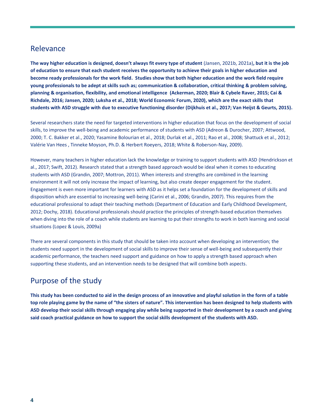### <span id="page-3-0"></span>Relevance

**The way higher education is designed, doesn't always fit every type of student** (Jansen, 2021b, 2021a)**, but it is the job of education to ensure that each student receives the opportunity to achieve their goals in higher education and become ready professionals for the work field. Studies show that both higher education and the work field require young professionals to be adept at skills such as; communication & collaboration, critical thinking & problem solving, planning & organisation, flexibility, and emotional intelligence (Ackerman, 2020; Blair & Cybele Raver, 2015; Cai & Richdale, 2016; Jansen, 2020; Luksha et al., 2018; World Economic Forum, 2020), which are the exact skills that students with ASD struggle with due to executive functioning disorder (Dijkhuis et al., 2017; Van Heijst & Geurts, 2015).**

Several researchers state the need for targeted interventions in higher education that focus on the development of social skills, to improve the well-being and academic performance of students with ASD (Adreon & Durocher, 2007; Attwood, 2000; T. C. Bakker et al., 2020; Yasamine Bolourian et al., 2018; Durlak et al., 2011; Rao et al., 2008; Shattuck et al., 2012; Valérie Van Hees , Tinneke Moyson, Ph.D. & Herbert Roeyers, 2018; White & Roberson-Nay, 2009).

However, many teachers in higher education lack the knowledge or training to support students with ASD (Hendrickson et al., 2017; Swift, 2012). Research stated that a strength based approach would be ideal when it comes to educating students with ASD (Grandin, 2007; Mottron, 2011). When interests and strengths are combined in the learning environment it will not only increase the impact of learning, but also create deeper engagement for the student. Engagement is even more important for learners with ASD as it helps set a foundation for the development of skills and disposition which are essential to increasing well-being (Carini et al., 2006; Grandin, 2007). This requires from the educational professional to adapt their teaching methods (Department of Education and Early Childhood Development, 2012; Dochy, 2018). Educational professionals should practice the principles of strength-based education themselves when diving into the role of a coach while students are learning to put their strengths to work in both learning and social situations (Lopez & Louis, 2009a)

There are several components in this study that should be taken into account when developing an intervention; the students need support in the development of social skills to improve their sense of well-being and subsequently their academic performance, the teachers need support and guidance on how to apply a strength based approach when supporting these students, and an intervention needs to be designed that will combine both aspects.

### <span id="page-3-1"></span>Purpose of the study

**This study has been conducted to aid in the design process of an innovative and playful solution in the form of a table top role playing game by the name of "the sisters of nature". This intervention has been designed to help students with ASD develop their social skills through engaging play while being supported in their development by a coach and giving said coach practical guidance on how to support the social skills development of the students with ASD.**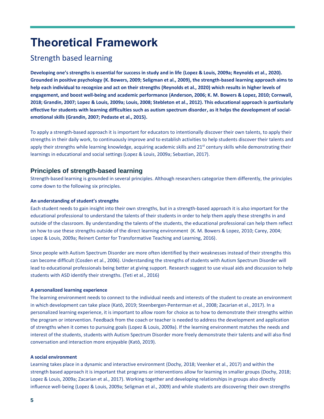## <span id="page-4-0"></span>**Theoretical Framework**

### <span id="page-4-1"></span>Strength based learning

**Developing one's strengths is essential for success in study and in life (Lopez & Louis, 2009a; Reynolds et al., 2020). Grounded in positive psychology (K. Bowers, 2009; Seligman et al., 2009), the strength-based learning approach aims to help each individual to recognize and act on their strengths (Reynolds et al., 2020) which results in higher levels of engagement, and boost well-being and academic performance (Anderson, 2006; K. M. Bowers & Lopez, 2010; Cornwall, 2018; Grandin, 2007; Lopez & Louis, 2009a; Louis, 2008; Stebleton et al., 2012). This educational approach is particularly effective for students with learning difficulties such as autism spectrum disorder, as it helps the development of socialemotional skills (Grandin, 2007; Pedaste et al., 2015).**

To apply a strength-based approach it is important for educators to intentionally discover their own talents, to apply their strengths in their daily work, to continuously improve and to establish activities to help students discover their talents and apply their strengths while learning knowledge, acquiring academic skills and  $21<sup>st</sup>$  century skills while demonstrating their learnings in educational and social settings (Lopez & Louis, 2009a; Sebastian, 2017).

### <span id="page-4-2"></span>**Principles of strength-based learning**

Strength-based learning is grounded in several principles. Although researchers categorize them differently, the principles come down to the following six principles.

### **An understanding of student's strengths**

Each student needs to gain insight into their own strengths, but in a strength-based approach it is also important for the educational professional to understand the talents of their students in order to help them apply these strengths in and outside of the classroom. By understanding the talents of the students, the educational professional can help them reflect on how to use these strengths outside of the direct learning environment (K. M. Bowers & Lopez, 2010; Carey, 2004; Lopez & Louis, 2009a; Reinert Center for Transformative Teaching and Learning, 2016).

Since people with Autism Spectrum Disorder are more often identified by their weaknesses instead of their strengths this can become difficult (Cosden et al., 2006). Understanding the strengths of students with Autism Spectrum Disorder will lead to educational professionals being better at giving support. Research suggest to use visual aids and discussion to help students with ASD identify their strengths. (Teti et al., 2016)

#### **A personalized learning experience**

The learning environment needs to connect to the individual needs and interests of the student to create an environment in which development can take place (Katō, 2019; Steenbergen-Penterman et al., 2008; Zacarian et al., 2017). In a personalized learning experience, it is important to allow room for choice as to how to demonstrate their strengths within the program or intervention. Feedback from the coach or teacher is needed to address the development and application of strengths when it comes to pursuing goals (Lopez & Louis, 2009a). If the learning environment matches the needs and interest of the students, students with Autism Spectrum Disorder more freely demonstrate their talents and will also find conversation and interaction more enjoyable (Katō, 2019).

#### **A social environment**

Learning takes place in a dynamic and interactive environment (Dochy, 2018; Veenker et al., 2017) and within the strength based approach it is important that programs or interventions allow for learning in smaller groups (Dochy, 2018; Lopez & Louis, 2009a; Zacarian et al., 2017). Working together and developing relationships in groups also directly influence well-being (Lopez & Louis, 2009a; Seligman et al., 2009) and while students are discovering their own strengths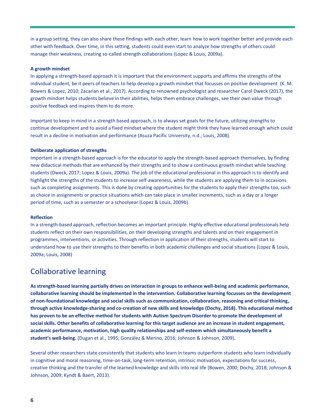in a group setting, they can also share these findings with each other, learn how to work together better and provide each other with feedback. Over time, in this setting, students could even start to analyze how strengths of others could manage their weakness, creating so-called strength collaborations (Lopez & Louis, 2009a).

#### **A growth mindset**

In applying a strength-based approach it is important that the environment supports and affirms the strengths of the individual student, be it peers of teachers to help develop a growth mindset that focusses on positive development (K. M. Bowers & Lopez, 2010; Zacarian et al., 2017). According to renowned psychologist and researcher Carol Dweck (2017), the growth mindset helps students believe in their abilities, helps them embrace challenges, see their own value through positive feedback and inspires them to do more.

Important to keep in mind in a strength based approach, is to always set goals for the future, utilizing strengths to continue development and to avoid a fixed mindset where the student might think they have learned enough which could result in a decline in motivation and performance (Asuza Pacific University, n.d.; Louis, 2008).

#### **Deliberate application of strengths**

Important in a strength-based approach is for the educator to apply the strength-based approach themselves, by finding new didactical methods that are enhanced by their strengths and to show a continuous growth mindset while teaching students (Dweck, 2017; Lopez & Louis, 2009a). The job of the educational professional in this approach is to identify and highlight the strengths of the students to increase self-awareness, while the students are applying them to in occasions such as completing assignments. This is done by creating opportunities for the students to apply their strengths too, such as choice in assignments or practice situations which can take place in smaller increments, such as a day or a longer period of time, such as a semester or a schoolyear (Lopez & Louis, 2009b).

#### **Reflection**

In a strength-based approach, reflection becomes an important principle. Highly effective educational professionals help students reflect on their own responsibilities, on their developing strengths and talents and on their engagement in programmes, interventions, or activities. Through reflection in application of their strengths, students will start to understand how to use their strengths to their benefits in both academic challenges and social situations (Lopez & Louis, 2009a; Louis, 2008)

### <span id="page-5-0"></span>Collaborative learning

**As strength-based learning partially drives on interaction in groups to enhance well-being and academic performance, collaborative learning should be implemented in the intervention. Collaborative learning focusses on the development of non-foundational knowledge and social skills such as communication, collaboration, reasoning and critical thinking, through active knowledge-sharing and co-creation of new skills and knowledge (Dochy, 2018). This educational method has proven to be an effective method for students with Autism Spectrum Disorder to promote the development of social skills. Other benefits of collaborative learning for this target audience are an increase in student engagement, academic performance, motivation, high quality relationships and self-esteem which simultaneously benefit a student's well-being.** (Dugan et al., 1995; González & Merino, 2016; Johnson & Johnson, 2009)**.** 

Several other researchers state consistently that students who learn in teams outperform students who learn individually in cognitive and moral reasoning, time-on-task, long-term retention, intrinsic motivation, expectations for success, creative thinking and the transfer of the learned knowledge and skills into real life (Bowen, 2000; Dochy, 2018; Johnson & Johnson, 2009; Kyndt & Baert, 2013).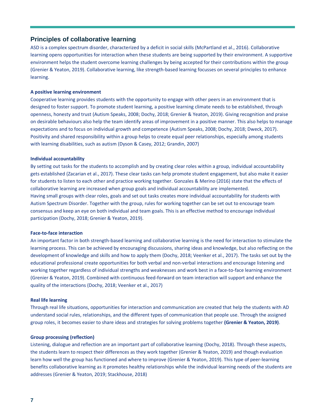### <span id="page-6-0"></span>**Principles of collaborative learning**

ASD is a complex spectrum disorder, characterized by a deficit in social skills (McPartland et al., 2016). Collaborative learning opens opportunities for interaction when these students are being supported by their environment. A supportive environment helps the student overcome learning challenges by being accepted for their contributions within the group (Grenier & Yeaton, 2019). Collaborative learning, like strength-based learning focusses on several principles to enhance learning.

#### **A positive learning environment**

Cooperative learning provides students with the opportunity to engage with other peers in an environment that is designed to foster support. To promote student learning, a positive learning climate needs to be established, through openness, honesty and trust (Autism Speaks, 2008; Dochy, 2018; Grenier & Yeaton, 2019). Giving recognition and praise on desirable behaviours also help the team identify areas of improvement in a positive manner. This also helps to manage expectations and to focus on individual growth and competence (Autism Speaks, 2008; Dochy, 2018; Dweck, 2017). Positivity and shared responsibility within a group helps to create equal peer relationships, especially among students with learning disabilities, such as autism (Dyson & Casey, 2012; Grandin, 2007)

#### **Individual accountability**

By setting out tasks for the students to accomplish and by creating clear roles within a group, individual accountability gets established (Zacarian et al., 2017). These clear tasks can help promote student engagement, but also make it easier for students to listen to each other and practice working together. Gonzales & Merino (2016) state that the effects of collaborative learning are increased when group goals and individual accountability are implemented. Having small groups with clear roles, goals and set out tasks creates more individual accountability for students with Autism Spectrum Disorder. Together with the group, rules for working together can be set out to encourage team consensus and keep an eye on both individual and team goals. This is an effective method to encourage individual participation (Dochy, 2018; Grenier & Yeaton, 2019).

#### **Face-to-face interaction**

An important factor in both strength-based learning and collaborative learning is the need for interaction to stimulate the learning process. This can be achieved by encouraging discussions, sharing ideas and knowledge, but also reflecting on the development of knowledge and skills and how to apply them (Dochy, 2018; Veenker et al., 2017). The tasks set out by the educational professional create opportunities for both verbal and non-verbal interactions and encourage listening and working together regardless of individual strengths and weaknesses and work best in a face-to-face learning environment (Grenier & Yeaton, 2019). Combined with continuous feed-forward on team interaction will support and enhance the quality of the interactions (Dochy, 2018; Veenker et al., 2017)

#### **Real life learning**

Through real life situations, opportunities for interaction and communication are created that help the students with AD understand social rules, relationships, and the different types of communication that people use. Through the assigned group roles, it becomes easier to share ideas and strategies for solving problems together **(Grenier & Yeaton, 2019)**.

#### **Group processing (reflection)**

Listening, dialogue and reflection are an important part of collaborative learning (Dochy, 2018). Through these aspects, the students learn to respect their differences as they work together (Grenier & Yeaton, 2019) and though evaluation learn how well the group has functioned and where to improve (Grenier & Yeaton, 2019). This type of peer-learning benefits collaborative learning as it promotes healthy relationships while the individual learning needs of the students are addresses (Grenier & Yeaton, 2019; Stackhouse, 2018)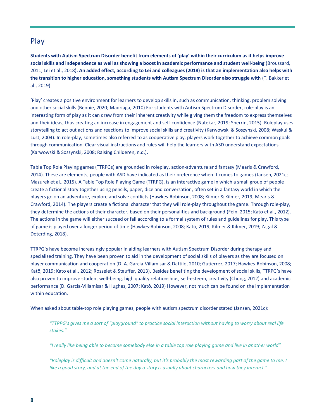### <span id="page-7-0"></span>Play

**Students with Autism Spectrum Disorder benefit from elements of 'play' within their curriculum as it helps improve social skills and independence as well as showing a boost in academic performance and student well-being** (Broussard, 2011; Lei et al., 2018)**. An added effect, according to Lei and colleagues (2018) is that an implementation also helps with the transition to higher education, something students with Autism Spectrum Disorder also struggle with** (T. Bakker et al., 2019)

'Play' creates a positive environment for learners to develop skills in, such as communication, thinking, problem solving and other social skills (Bennie, 2020; Madriaga, 2010) For students with Autism Spectrum Disorder, role-play is an interesting form of play as it can draw from their inherent creativity while giving them the freedom to express themselves and their ideas, thus creating an increase in engagement and self-confidence (Natekar, 2019; Sherrin, 2015). Roleplay uses storytelling to act out actions and reactions to improve social skills and creativity (Karwowski & Soszynski, 2008; Waskul & Lust, 2004). In role-play, sometimes also referred to as cooperative play, players work together to achieve common goals through communication. Clear visual instructions and rules will help the learners with ASD understand expectations (Karwowski & Soszynski, 2008; Raising Childeren, n.d.).

Table Top Role Playing games (TTRPGs) are grounded in roleplay, action-adventure and fantasy (Mearls & Crawford, 2014). These are elements, people with ASD have indicated as their preference when It comes to games (Jansen, 2021c; Mazurek et al., 2015). A Table Top Role Playing Game (TTRPG), is an interactive game in which a small group of people create a fictional story together using pencils, paper, dice and conversation, often set in a fantasy world in which the players go on an adventure, explore and solve conflicts (Hawkes-Robinson, 2008; Kilmer & Kilmer, 2019; Mearls & Crawford, 2014). The players create a fictional character that they will role-play throughout the game. Through role-play, they determine the actions of their character, based on their personalities and background (Fein, 2015; Kato et al., 2012). The actions in the game will either succeed or fail according to a formal system of rules and guidelines for play. This type of game is played over a longer period of time (Hawkes-Robinson, 2008; Katō, 2019; Kilmer & Kilmer, 2019; Zagal & Deterding, 2018).

TTRPG's have become increasingly popular in aiding learners with Autism Spectrum Disorder during therapy and specialized training. They have been proven to aid in the development of social skills of players as they are focused on player communication and cooperation (D. A. García-Villamisar & Dattilo, 2010; Gutierrez, 2017; Hawkes-Robinson, 2008; Katō, 2019; Kato et al., 2012; Rosselet & Stauffer, 2013). Besides benefiting the development of social skills, TTRPG's have also proven to improve student well-being, high quality relationships, self-esteem, creativity (Chung, 2012) and academic performance (D. García-Villamisar & Hughes, 2007; Katō, 2019) However, not much can be found on the implementation within education.

When asked about table-top role playing games, people with autism spectrum disorder stated (Jansen, 2021c):

*"TTRPG's gives me a sort of "playground" to practice social interaction without having to worry about real life stakes."*

*"I really like being able to become somebody else in a table top role playing game and live in another world"*

*"Roleplay is difficult and doesn't come naturally, but it's probably the most rewarding part of the game to me. I like a good story, and at the end of the day a story is usually about characters and how they interact."*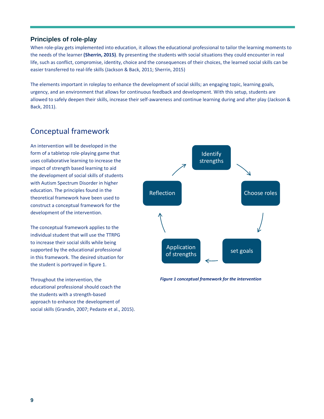### <span id="page-8-0"></span>**Principles of role-play**

When role-play gets implemented into education, it allows the educational professional to tailor the learning moments to the needs of the learner **(Sherrin, 2015)**. By presenting the students with social situations they could encounter in real life, such as conflict, compromise, identity, choice and the consequences of their choices, the learned social skills can be easier transferred to real-life skills (Jackson & Back, 2011; Sherrin, 2015)

The elements important in roleplay to enhance the development of social skills; an engaging topic, learning goals, urgency, and an environment that allows for continuous feedback and development. With this setup, students are allowed to safely deepen their skills, increase their self-awareness and continue learning during and after play (Jackson & Back, 2011).

### <span id="page-8-1"></span>Conceptual framework

An intervention will be developed in the form of a tabletop role-playing game that uses collaborative learning to increase the impact of strength based learning to aid the development of social skills of students with Autism Spectrum Disorder in higher education. The principles found in the theoretical framework have been used to construct a conceptual framework for the development of the intervention.

The conceptual framework applies to the individual student that will use the TTRPG to increase their social skills while being supported by the educational professional in this framework. The desired situation for the student is portrayed in figure 1.

Throughout the intervention, the educational professional should coach the the students with a strength-based approach to enhance the development of social skills (Grandin, 2007; Pedaste et al., 2015).



*Figure 1 conceptual framework for the intervention*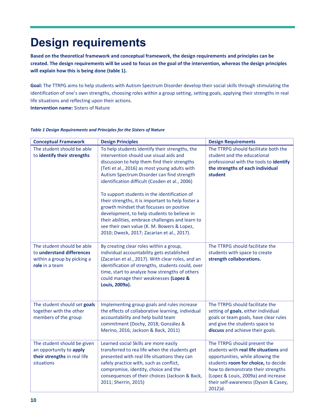# <span id="page-9-0"></span>**Design requirements**

**Based on the theoretical framework and conceptual framework, the design requirements and principles can be created. The design requirements will be used to focus on the goal of the intervention, whereas the design principles will explain how this is being done (table 1).**

**Goal:** The TTRPG aims to help students with Autism Spectrum Disorder develop their social skills through stimulating the identification of one's own strengths, choosing roles within a group setting, setting goals, applying their strengths in real life situations and reflecting upon their actions.

**Intervention name:** Sisters of Nature

| <b>Conceptual Framework</b>                                                                              | <b>Design Principles</b>                                                                                                                                                                                                                                                                                                                                                                                                                                                                                                                                                                                                                   | <b>Design Requirements</b>                                                                                                                                                                                                                                                            |
|----------------------------------------------------------------------------------------------------------|--------------------------------------------------------------------------------------------------------------------------------------------------------------------------------------------------------------------------------------------------------------------------------------------------------------------------------------------------------------------------------------------------------------------------------------------------------------------------------------------------------------------------------------------------------------------------------------------------------------------------------------------|---------------------------------------------------------------------------------------------------------------------------------------------------------------------------------------------------------------------------------------------------------------------------------------|
| The student should be able<br>to identify their strengths                                                | To help students identify their strengths, the<br>intervention should use visual aids and<br>discussion to help them find their strengths<br>(Teti et al., 2016) as most young adults with<br>Autism Spectrum Disorder can find strength<br>identification difficult (Cosden et al., 2006)<br>To support students in the identification of<br>their strengths, it is important to help foster a<br>growth mindset that focusses on positive<br>development, to help students to believe in<br>their abilities, embrace challenges and learn to<br>see their own value (K. M. Bowers & Lopez,<br>2010; Dweck, 2017; Zacarian et al., 2017). | The TTRPG should facilitate both the<br>student and the educational<br>professional with the tools to identify<br>the strengths of each individual<br>student                                                                                                                         |
| The student should be able<br>to understand differences<br>within a group by picking a<br>role in a team | By creating clear roles within a group,<br>individual accountability gets established<br>(Zacarian et al., 2017). With clear roles, and an<br>identification of strengths, students could, over<br>time, start to analyze how strengths of others<br>could manage their weaknesses (Lopez &<br>Louis, 2009a).                                                                                                                                                                                                                                                                                                                              | The TTRPG should facilitate the<br>students with space to create<br>strength collaborations.                                                                                                                                                                                          |
| The student should set goals<br>together with the other<br>members of the group                          | Implementing group goals and rules increase<br>the effects of collaborative learning, individual<br>accountability and help build team<br>commitment (Dochy, 2018; González &<br>Merino, 2016; Jackson & Back, 2011)                                                                                                                                                                                                                                                                                                                                                                                                                       | The TTRPG should facilitate the<br>setting of goals, either individual<br>goals or team goals, have clear rules<br>and give the students space to<br>discuss and achieve their goals.                                                                                                 |
| The student should be given<br>an opportunity to apply<br>their strengths in real life<br>situations     | Learned social Skills are more easily<br>transferred to rea life when the students get<br>presented with real life situations they can<br>safely practice with, such as conflict,<br>compromise, identity, choice and the<br>consequences of their choices (Jackson & Back,<br>2011; Sherrin, 2015)                                                                                                                                                                                                                                                                                                                                        | The TTRPG should present the<br>students with real life situations and<br>opportunities, while allowing the<br>students room for choice, to decide<br>how to demonstrate their strengths<br>(Lopez & Louis, 2009a) and increase<br>their self-awareness (Dyson & Casey,<br>$2012$ )d. |

#### *Table 1 Design Requirements and Principles for the Sisters of Nature*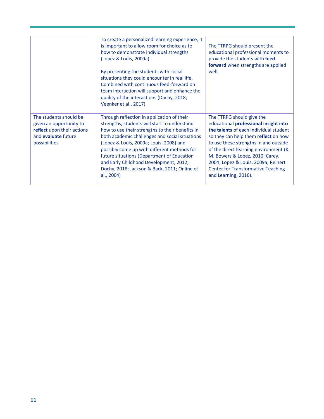|                                                                                                                                | To create a personalized learning experience, it<br>is important to allow room for choice as to<br>how to demonstrate individual strengths<br>(Lopez & Louis, 2009a).<br>By presenting the students with social<br>situations they could encounter in real life,<br>Combined with continuous feed-forward on<br>team interaction will support and enhance the<br>quality of the interactions (Dochy, 2018;<br>Veenker et al., 2017)             | The TTRPG should present the<br>educational professional moments to<br>provide the students with feed-<br>forward when strengths are applied<br>well.                                                                                                                                                                                                                                  |
|--------------------------------------------------------------------------------------------------------------------------------|-------------------------------------------------------------------------------------------------------------------------------------------------------------------------------------------------------------------------------------------------------------------------------------------------------------------------------------------------------------------------------------------------------------------------------------------------|----------------------------------------------------------------------------------------------------------------------------------------------------------------------------------------------------------------------------------------------------------------------------------------------------------------------------------------------------------------------------------------|
| The students should be<br>given an opportunity to<br>reflect upon their actions<br>and <b>evaluate</b> future<br>possibilities | Through reflection in application of their<br>strengths, students will start to understand<br>how to use their strengths to their benefits in<br>both academic challenges and social situations<br>(Lopez & Louis, 2009a; Louis, 2008) and<br>possibly come up with different methods for<br>future situations (Department of Education<br>and Early Childhood Development, 2012;<br>Dochy, 2018; Jackson & Back, 2011; Online et<br>al., 2004) | The TTRPG should give the<br>educational professional insight into<br>the talents of each individual student<br>so they can help them reflect on how<br>to use these strengths in and outside<br>of the direct learning environment (K.<br>M. Bowers & Lopez, 2010; Carey,<br>2004; Lopez & Louis, 2009a; Reinert<br><b>Center for Transformative Teaching</b><br>and Learning, 2016). |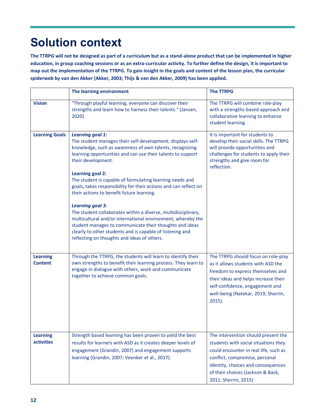# <span id="page-11-0"></span>**Solution context**

**The TTRPG will not be designed as part of a curriculum but as a stand-alone product that can be implemented in higher education, in group coaching sessions or as an extra-curricular activity. To further define the design, it is important to map out the implementation of the TTRPG. To gain insight in the goals and content of the lesson plan, the curricular spiderweb by van den Akker (Akker, 2003; Thijs & van den Akker, 2009) has been applied.**

|                                      | The learning environment                                                                                                                                                                                                                                                                                                                                                                                                                                                                                                                                                                                                                                                                                                                                                         | <b>The TTRPG</b>                                                                                                                                                                                                                                          |
|--------------------------------------|----------------------------------------------------------------------------------------------------------------------------------------------------------------------------------------------------------------------------------------------------------------------------------------------------------------------------------------------------------------------------------------------------------------------------------------------------------------------------------------------------------------------------------------------------------------------------------------------------------------------------------------------------------------------------------------------------------------------------------------------------------------------------------|-----------------------------------------------------------------------------------------------------------------------------------------------------------------------------------------------------------------------------------------------------------|
| <b>Vision</b>                        | "Through playful learning, everyone can discover their<br>strengths and learn how to harness their talents." (Jansen,<br>2020)                                                                                                                                                                                                                                                                                                                                                                                                                                                                                                                                                                                                                                                   | The TTRPG will combine role-play<br>with a strengths-based approach and<br>collaborative learning to enhance<br>student learning                                                                                                                          |
| <b>Learning Goals</b>                | <b>Learning goal 1:</b><br>The student manages their self-development; displays self-<br>knowledge, such as awareness of own talents, recognizing<br>learning opportunities and can use their talents to support<br>their development.<br><b>Learning goal 2:</b><br>The student is capable of formulating learning needs and<br>goals, takes responsibility for their actions and can reflect on<br>their actions to benefit future learning.<br><b>Learning goal 3:</b><br>The student collaborates within a diverse, multidisciplinary,<br>multicultural and/or international environment, whereby the<br>student manages to communicate their thoughts and ideas<br>clearly to other students and is capable of listening and<br>reflecting on thoughts and ideas of others. | It is important for students to<br>develop their social skills. The TTRPG<br>will provide opportunities and<br>challenges for students to apply their<br>strengths and give room for<br>reflection.                                                       |
| <b>Learning</b><br><b>Content</b>    | Through the TTRPG, the students will learn to identify their<br>own strengths to benefit their learning process. They learn to<br>engage in dialogue with others, work and communicate<br>together to achieve common goals.                                                                                                                                                                                                                                                                                                                                                                                                                                                                                                                                                      | The TTRPG should focus on role-play<br>as it allows students with ASD the<br>freedom to express themselves and<br>their ideas and helps increase their<br>self-confidence, engagement and<br>well-being (Natekar, 2019; Sherrin,<br>$2015$ ).             |
| <b>Learning</b><br><b>activities</b> | Strength based learning has been proven to yield the best<br>results for learners with ASD as it creates deeper levels of<br>engagement (Grandin, 2007) and engagement supports<br>learning (Grandin, 2007; Veenker et al., 2017).                                                                                                                                                                                                                                                                                                                                                                                                                                                                                                                                               | The intervention should present the<br>students with social situations they<br>could encounter in real life, such as<br>conflict, compromise, personal<br>identity, choices and consequences<br>of their choices (Jackson & Back,<br>2011; Sherrin, 2015) |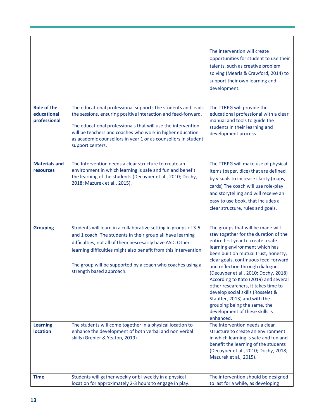|                                                   |                                                                                                                                                                                                                                                                                                                                                          | The intervention will create<br>opportunities for student to use their<br>talents, such as creative problem<br>solving (Mearls & Crawford, 2014) to<br>support their own learning and<br>development.                                                                                                                                                                                                                                                                                                                                             |
|---------------------------------------------------|----------------------------------------------------------------------------------------------------------------------------------------------------------------------------------------------------------------------------------------------------------------------------------------------------------------------------------------------------------|---------------------------------------------------------------------------------------------------------------------------------------------------------------------------------------------------------------------------------------------------------------------------------------------------------------------------------------------------------------------------------------------------------------------------------------------------------------------------------------------------------------------------------------------------|
| <b>Role of the</b><br>educational<br>professional | The educational professional supports the students and leads<br>the sessions, ensuring positive interaction and feed-forward.<br>The educational professionals that will use the intervention<br>will be teachers and coaches who work in higher education<br>as academic counsellors in year 1 or as counsellors in student<br>support centers.         | The TTRPG will provide the<br>educational professional with a clear<br>manual and tools to guide the<br>students in their learning and<br>development process                                                                                                                                                                                                                                                                                                                                                                                     |
| <b>Materials and</b><br><b>resources</b>          | The Intervention needs a clear structure to create an<br>environment in which learning is safe and fun and benefit<br>the learning of the students (Decuyper et al., 2010; Dochy,<br>2018; Mazurek et al., 2015).                                                                                                                                        | The TTRPG will make use of physical<br>items (paper, dice) that are defined<br>by visuals to increase clarity (maps,<br>cards) The coach will use role-play<br>and storytelling and will receive an<br>easy to use book, that includes a<br>clear structure, rules and goals.                                                                                                                                                                                                                                                                     |
| <b>Grouping</b>                                   | Students will learn in a collaborative setting in groups of 3-5<br>and 1 coach. The students in their group all have learning<br>difficulties, not all of them nescesarily have ASD. Other<br>learning difficulties might also benefit from this intervention.<br>The group will be supported by a coach who coaches using a<br>strength based approach. | The groups that will be made will<br>stay together for the duration of the<br>entire first year to create a safe<br>learning environment which has<br>been built on mutual trust, honesty,<br>clear goals, continuous feed-forward<br>and reflection through dialogue.<br>(Decuyper et al., 2010; Dochy, 2018)<br>According to Kato (2019) and several<br>other researchers, it takes time to<br>develop social skills (Rosselet &<br>Stauffer, 2013) and with the<br>grouping being the same, the<br>development of these skills is<br>enhanced. |
| <b>Learning</b><br><b>location</b>                | The students will come together in a physical location to<br>enhance the development of both verbal and non verbal<br>skills (Grenier & Yeaton, 2019).                                                                                                                                                                                                   | The Intervention needs a clear<br>structure to create an environment<br>in which learning is safe and fun and<br>benefit the learning of the students<br>(Decuyper et al., 2010; Dochy, 2018;<br>Mazurek et al., 2015).                                                                                                                                                                                                                                                                                                                           |
| <b>Time</b>                                       | Students will gather weekly or bi-weekly in a physical<br>location for approximately 2-3 hours to engage in play.                                                                                                                                                                                                                                        | The intervention should be designed<br>to last for a while, as developing                                                                                                                                                                                                                                                                                                                                                                                                                                                                         |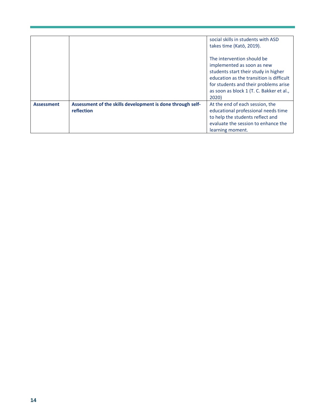|                   |                                                                          | social skills in students with ASD<br>takes time (Katō, 2019).                                                                                                                                                                             |
|-------------------|--------------------------------------------------------------------------|--------------------------------------------------------------------------------------------------------------------------------------------------------------------------------------------------------------------------------------------|
|                   |                                                                          | The intervention should be<br>implemented as soon as new<br>students start their study in higher<br>education as the transition is difficult<br>for students and their problems arise<br>as soon as block 1 (T. C. Bakker et al.,<br>2020) |
| <b>Assessment</b> | Assessment of the skills development is done through self-<br>reflection | At the end of each session, the<br>educational professional needs time<br>to help the students reflect and<br>evaluate the session to enhance the<br>learning moment.                                                                      |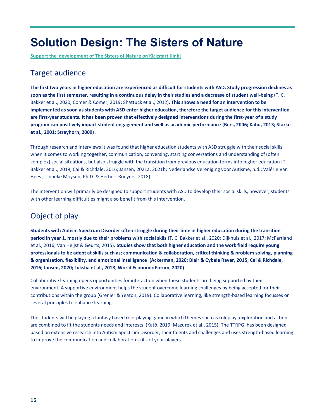## <span id="page-14-0"></span>**Solution Design: The Sisters of Nature**

**Support the development of The Sisters of Nature on Kickstart [link]** 

### <span id="page-14-1"></span>Target audience

**The first two years in higher education are experienced as difficult for students with ASD. Study progression declines as soon as the first semester, resulting in a continuous delay in their studies and a decrease of student well-being** (T. C. Bakker et al., 2020; Comer & Comer, 2019; Shattuck et al., 2012)**. This shows a need for an intervention to be implemented as soon as students with ASD enter higher education, therefore the target audience for this intervention are first-year students. It has been proven that effectively designed interventions during the first-year of a study program can positively impact student engagement and well as academic performance (Bers, 2006; Kahu, 2013; Starke et al., 2001; Strayhorn, 2009) .** 

Through research and interviews it was found that higher education students with ASD struggle with their social skills when it comes to working together, communication, conversing, starting conversations and understanding of (often complex) social situations, but also struggle with the transition from previous education forms into higher education (T. Bakker et al., 2019; Cai & Richdale, 2016; Jansen, 2021a, 2021b; Nederlandse Vereniging voor Autisme, n.d.; Valérie Van Hees , Tinneke Moyson, Ph.D. & Herbert Roeyers, 2018).

The intervention will primarily be designed to support students with ASD to develop their social skills, however, students with other learning difficulties might also benefit from this intervention.

### <span id="page-14-2"></span>Object of play

**Students with Autism Spectrum Disorder often struggle during their time in higher education during the transition period in year 1, mostly due to their problems with social skils** (T. C. Bakker et al., 2020; Dijkhuis et al., 2017; McPartland et al., 2016; Van Heijst & Geurts, 2015)**. Studies show that both higher education and the work field require young professionals to be adept at skills such as; communication & collaboration, critical thinking & problem solving, planning & organisation, flexibility, and emotional intelligence (Ackerman, 2020; Blair & Cybele Raver, 2015; Cai & Richdale, 2016; Jansen, 2020; Luksha et al., 2018; World Economic Forum, 2020).**

Collaborative learning opens opportunities for interaction when these students are being supported by their environment. A supportive environment helps the student overcome learning challenges by being accepted for their contributions within the group (Grenier & Yeaton, 2019). Collaborative learning, like strength-based learning focusses on several principles to enhance learning.

The students will be playing a fantasy based role-playing game in which themes such as roleplay, exploration and action are combined to fit the students needs and interests (Katō, 2019; Mazurek et al., 2015). The TTRPG has been designed based on extensive research into Autism Spectrum Disorder, their talents and challenges and uses strength-based learning to improve the communication and collaboration skills of your players.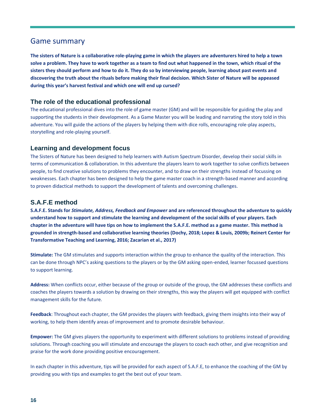### <span id="page-15-0"></span>Game summary

**The sisters of Nature is a collaborative role-playing game in which the players are adventurers hired to help a town solve a problem. They have to work together as a team to find out what happened in the town, which ritual of the sisters they should perform and how to do it. They do so by interviewing people, learning about past events and discovering the truth about the rituals before making their final decision. Which Sister of Nature will be appeased during this year's harvest festival and which one will end up cursed?**

### <span id="page-15-1"></span>**The role of the educational professional**

The educational professional dives into the role of game master (GM) and will be responsible for guiding the play and supporting the students in their development. As a Game Master you will be leading and narrating the story told in this adventure. You will guide the actions of the players by helping them with dice rolls, encouraging role-play aspects, storytelling and role-playing yourself.

### <span id="page-15-2"></span>**Learning and development focus**

The Sisters of Nature has been designed to help learners with Autism Spectrum Disorder, develop their social skills in terms of communication & collaboration. In this adventure the players learn to work together to solve conflicts between people, to find creative solutions to problems they encounter, and to draw on their strengths instead of focussing on weaknesses. Each chapter has been designed to help the game master coach in a strength-based manner and according to proven didactical methods to support the development of talents and overcoming challenges.

### <span id="page-15-3"></span>**S.A.F.E method**

**S.A.F.E. Stands for** *Stimulate, Address, Feedback and Empower* **and are referenced throughout the adventure to quickly understand how to support and stimulate the learning and development of the social skills of your players. Each chapter in the adventure will have tips on how to implement the S.A.F.E. method as a game master. This method is grounded in strength-based and collaborative learning theories (Dochy, 2018; Lopez & Louis, 2009b; Reinert Center for Transformative Teaching and Learning, 2016; Zacarian et al., 2017)**

**Stimulate:** The GM stimulates and supports interaction within the group to enhance the quality of the interaction. This can be done through NPC's asking questions to the players or by the GM asking open-ended, learner focussed questions to support learning.

**Address:** When conflicts occur, either because of the group or outside of the group, the GM addresses these conflicts and coaches the players towards a solution by drawing on their strengths, this way the players will get equipped with conflict management skills for the future.

**Feedback**: Throughout each chapter, the GM provides the players with feedback, giving them insights into their way of working, to help them identify areas of improvement and to promote desirable behaviour.

**Empower:** The GM gives players the opportunity to experiment with different solutions to problems instead of providing solutions. Through coaching you will stimulate and encourage the players to coach each other, and give recognition and praise for the work done providing positive encouragement.

In each chapter in this adventure, tips will be provided for each aspect of S.A.F.E, to enhance the coaching of the GM by providing you with tips and examples to get the best out of your team.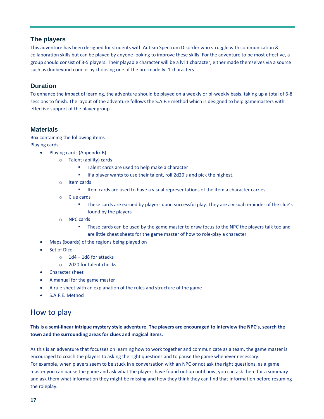### <span id="page-16-0"></span>**The players**

This adventure has been designed for students with Autism Spectrum Disorder who struggle with communication & collaboration skills but can be played by anyone looking to improve these skills. For the adventure to be most effective, a group should consist of 3-5 players. Their playable character will be a lvl 1 character, either made themselves via a source such as dndbeyond.com or by choosing one of the pre-made lvl 1 characters.

### <span id="page-16-1"></span>**Duration**

To enhance the impact of learning, the adventure should be played on a weekly or bi-weekly basis, taking up a total of 6-8 sessions to finish. The layout of the adventure follows the S.A.F.E method which is designed to help gamemasters with effective support of the player group.

### <span id="page-16-2"></span>**Materials**

Box containing the following items Playing cards

- Playing cards (Appendix B)
	- o Talent (ability) cards
		- Talent cards are used to help make a character
		- If a player wants to use their talent, roll 2d20's and pick the highest.
	- o Item cards
		- Item cards are used to have a visual representations of the item a character carries
	- o Clue cards
		- **•** These cards are earned by players upon successful play. They are a visual reminder of the clue's found by the players
	- o NPC cards
		- **.** These cards can be used by the game master to draw focus to the NPC the players talk too and are little cheat sheets for the game master of how to role-play a character
- Maps (boards) of the regions being played on
- **Set of Dice** 
	- $\circ$  1d4 + 1d8 for attacks
	- o 2d20 for talent checks
- Character sheet
- A manual for the game master
- A rule sheet with an explanation of the rules and structure of the game
- S.A.F.E. Method

### <span id="page-16-3"></span>How to play

**This is a semi-linear intrigue mystery style adventure. The players are encouraged to interview the NPC's, search the town and the surrounding areas for clues and magical items.** 

As this is an adventure that focusses on learning how to work together and communicate as a team, the game master is encouraged to coach the players to asking the right questions and to pause the game whenever necessary. For example, when players seem to be stuck in a conversation with an NPC or not ask the right questions, as a game master you can pause the game and ask what the players have found out up until now, you can ask them for a summary and ask them what information they might be missing and how they think they can find that information before resuming the roleplay.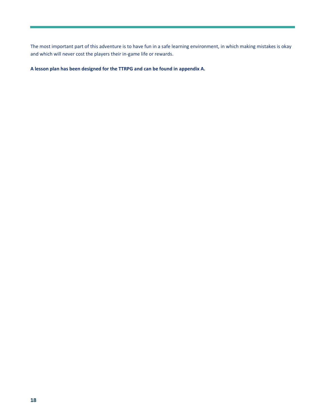The most important part of this adventure is to have fun in a safe learning environment, in which making mistakes is okay and which will never cost the players their in-game life or rewards.

**A lesson plan has been designed for the TTRPG and can be found in appendix A.**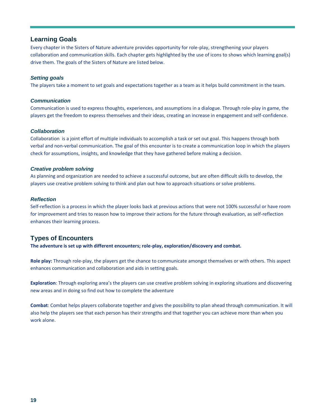### <span id="page-18-0"></span>**Learning Goals**

Every chapter in the Sisters of Nature adventure provides opportunity for role-play, strengthening your players collaboration and communication skills. Each chapter gets highlighted by the use of icons to shows which learning goal(s) drive them. The goals of the Sisters of Nature are listed below.

#### *Setting goals*

The players take a moment to set goals and expectations together as a team as it helps build commitment in the team.

#### *Communication*

Communication is used to express thoughts, experiences, and assumptions in a dialogue. Through role-play in game, the players get the freedom to express themselves and their ideas, creating an increase in engagement and self-confidence.

#### *Collaboration*

Collaboration is a joint effort of multiple individuals to accomplish a task or set out goal. This happens through both verbal and non-verbal communication. The goal of this encounter is to create a communication loop in which the players check for assumptions, insights, and knowledge that they have gathered before making a decision.

#### *Creative problem solving*

As planning and organization are needed to achieve a successful outcome, but are often difficult skills to develop, the players use creative problem solving to think and plan out how to approach situations or solve problems.

#### *Reflection*

Self-reflection is a process in which the player looks back at previous actions that were not 100% successful or have room for improvement and tries to reason how to improve their actions for the future through evaluation, as self-reflection enhances their learning process.

### <span id="page-18-1"></span>**Types of Encounters**

**The adventure is set up with different encounters; role-play, exploration/discovery and combat.**

**Role play:** Through role-play, the players get the chance to communicate amongst themselves or with others. This aspect enhances communication and collaboration and aids in setting goals.

**Exploration**: Through exploring area's the players can use creative problem solving in exploring situations and discovering new areas and in doing so find out how to complete the adventure

**Combat**: Combat helps players collaborate together and gives the possibility to plan ahead through communication. It will also help the players see that each person has their strengths and that together you can achieve more than when you work alone.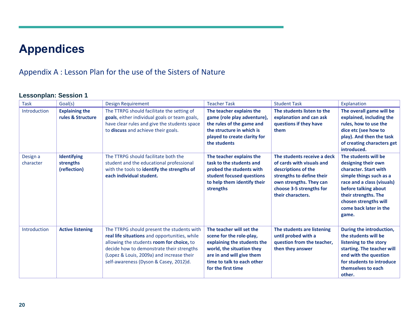# **Appendices**

### Appendix A : Lesson Plan for the use of the Sisters of Nature

### **Lessonplan: Session 1**

<span id="page-19-2"></span><span id="page-19-1"></span><span id="page-19-0"></span>

| <b>Task</b>           | Goal(s)                                         | Design Requirement                                                                                                                                                                                                                                                           | <b>Teacher Task</b>                                                                                                                                                                               | <b>Student Task</b>                                                                                                                                                                      | Explanation                                                                                                                                                                                                                               |
|-----------------------|-------------------------------------------------|------------------------------------------------------------------------------------------------------------------------------------------------------------------------------------------------------------------------------------------------------------------------------|---------------------------------------------------------------------------------------------------------------------------------------------------------------------------------------------------|------------------------------------------------------------------------------------------------------------------------------------------------------------------------------------------|-------------------------------------------------------------------------------------------------------------------------------------------------------------------------------------------------------------------------------------------|
| Introduction          | <b>Explaining the</b><br>rules & Structure      | The TTRPG should facilitate the setting of<br>goals, either individual goals or team goals,<br>have clear rules and give the students space<br>to discuss and achieve their goals.                                                                                           | The teacher explains the<br>game (role play adventure),<br>the rules of the game and<br>the structure in which is<br>played to create clarity for<br>the students                                 | The students listen to the<br>explanation and can ask<br>questions if they have<br>them                                                                                                  | The overall game will be<br>explained, including the<br>rules, how to use the<br>dice etc (see how to<br>play). And then the task<br>of creating characters get<br>introduced.                                                            |
| Design a<br>character | <b>Identifying</b><br>strengths<br>(reflection) | The TTRPG should facilitate both the<br>student and the educational professional<br>with the tools to identify the strengths of<br>each individual student.                                                                                                                  | The teacher explains the<br>task to the students and<br>probed the students with<br>student focused questions<br>to help them identify their<br>strengths                                         | The students receive a deck<br>of cards with visuals and<br>descriptions of the<br>strengths to define their<br>own strengths. They can<br>choose 3-5 strengths for<br>their characters. | The students will be<br>designing their own<br>character. Start with<br>simple things such as a<br>race and a class (visuals)<br>before talking about<br>their strengths. The<br>chosen strengths will<br>come back later in the<br>game. |
| Introduction          | <b>Active listening</b>                         | The TTRPG should present the students with<br>real life situations and opportunities, while<br>allowing the students room for choice, to<br>decide how to demonstrate their strengths<br>(Lopez & Louis, 2009a) and increase their<br>self-awareness (Dyson & Casey, 2012)d. | The teacher will set the<br>scene for the role-play,<br>explaining the students the<br>world, the situation they<br>are in and will give them<br>time to talk to each other<br>for the first time | The students are listening<br>until probed with a<br>question from the teacher,<br>then they answer                                                                                      | During the introduction,<br>the students will be<br>listening to the story<br>starting. The teacher will<br>end with the question<br>for students to introduce<br>themselves to each<br>other.                                            |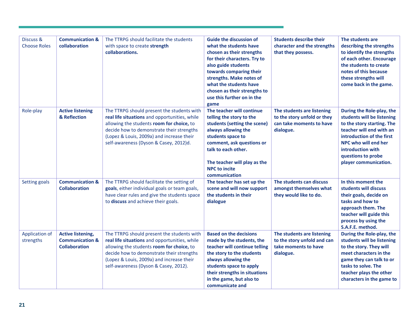| Discuss &<br><b>Choose Roles</b> | <b>Communication &amp;</b><br>collaboration                                    | The TTRPG should facilitate the students<br>with space to create strength<br>collaborations.                                                                                                                                                                                 | <b>Guide the discussion of</b><br>what the students have<br>chosen as their strengths<br>for their characters. Try to<br>also guide students<br>towards comparing their<br>strengths. Make notes of<br>what the students have<br>chosen as their strengths to<br>use this further on in the<br>game | <b>Students describe their</b><br>character and the strengths<br>that they possess.                | The students are<br>describing the strengths<br>to identify the strengths<br>of each other. Encourage<br>the students to create<br>notes of this because<br>these strengths will<br>come back in the game.                                 |
|----------------------------------|--------------------------------------------------------------------------------|------------------------------------------------------------------------------------------------------------------------------------------------------------------------------------------------------------------------------------------------------------------------------|-----------------------------------------------------------------------------------------------------------------------------------------------------------------------------------------------------------------------------------------------------------------------------------------------------|----------------------------------------------------------------------------------------------------|--------------------------------------------------------------------------------------------------------------------------------------------------------------------------------------------------------------------------------------------|
| Role-play                        | <b>Active listening</b><br>& Reflection                                        | The TTRPG should present the students with<br>real life situations and opportunities, while<br>allowing the students room for choice, to<br>decide how to demonstrate their strengths<br>(Lopez & Louis, 2009a) and increase their<br>self-awareness (Dyson & Casey, 2012)d. | The teacher will continue<br>telling the story to the<br>students (setting the scene)<br>always allowing the<br>students space to<br>comment, ask questions or<br>talk to each other.<br>The teacher will play as the<br><b>NPC to incite</b><br>communication                                      | The students are listening<br>to the story unfold or they<br>can take moments to have<br>dialogue. | During the Role-play, the<br>students will be listening<br>to the story starting. The<br>teacher will end with an<br>introduction of the first<br>NPC who will end her<br>introduction with<br>questions to probe<br>player communication. |
| Setting goals                    | <b>Communication &amp;</b><br><b>Collaboration</b>                             | The TTRPG should facilitate the setting of<br>goals, either individual goals or team goals,<br>have clear rules and give the students space<br>to discuss and achieve their goals.                                                                                           | The teacher has set up the<br>scene and will now support<br>the students in their<br>dialogue                                                                                                                                                                                                       | The students can discuss<br>amongst themselves what<br>they would like to do.                      | In this moment the<br>students will discuss<br>their goals, decide on<br>tasks and how to<br>approach them. The<br>teacher will guide this<br>process by using the<br>S.A.F.E. method.                                                     |
| Application of<br>strengths      | <b>Active listening,</b><br><b>Communication &amp;</b><br><b>Collaboration</b> | The TTRPG should present the students with<br>real life situations and opportunities, while<br>allowing the students room for choice, to<br>decide how to demonstrate their strengths<br>(Lopez & Louis, 2009a) and increase their<br>self-awareness (Dyson & Casey, 2012).  | <b>Based on the decisions</b><br>made by the students, the<br>teacher will continue telling<br>the story to the students<br>always allowing the<br>students space to apply<br>their strengths in situations<br>in the game, but also to<br>communicate and                                          | The students are listening<br>to the story unfold and can<br>take moments to have<br>dialogue.     | During the Role-play, the<br>students will be listening<br>to the story. They will<br>meet characters in the<br>game they can talk to or<br>tasks to solve. The<br>teacher plays the other<br>characters in the game to                    |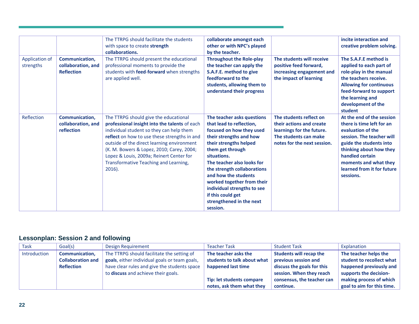| Application of<br>strengths | Communication,<br>collaboration, and<br><b>Reflection</b> | The TTRPG should facilitate the students<br>with space to create strength<br>collaborations.<br>The TTRPG should present the educational<br>professional moments to provide the<br>students with feed-forward when strengths<br>are applied well.                                                                                                                               | collaborate amongst each<br>other or with NPC's played<br>by the teacher.<br><b>Throughout the Role-play</b><br>the teacher can apply the<br>S.A.F.E. method to give<br>feedforward to the<br>students, allowing them to<br>understand their progress                                                                                                                                     | The students will receive<br>positive feed forward,<br>increasing engagement and<br>the impact of learning                               | incite interaction and<br>creative problem solving.<br>The S.A.F.E method is<br>applied to each part of<br>role-play in the manual<br>the teachers receive.<br><b>Allowing for continuous</b><br>feed-forward to support<br>the learning and<br>development of the |
|-----------------------------|-----------------------------------------------------------|---------------------------------------------------------------------------------------------------------------------------------------------------------------------------------------------------------------------------------------------------------------------------------------------------------------------------------------------------------------------------------|-------------------------------------------------------------------------------------------------------------------------------------------------------------------------------------------------------------------------------------------------------------------------------------------------------------------------------------------------------------------------------------------|------------------------------------------------------------------------------------------------------------------------------------------|--------------------------------------------------------------------------------------------------------------------------------------------------------------------------------------------------------------------------------------------------------------------|
| Reflection                  | Communication,<br>collaboration, and<br>reflection        | The TTRPG should give the educational<br>professional insight into the talents of each<br>individual student so they can help them<br>reflect on how to use these strengths in and<br>outside of the direct learning environment<br>(K. M. Bowers & Lopez, 2010; Carey, 2004;<br>Lopez & Louis, 2009a; Reinert Center for<br>Transformative Teaching and Learning,<br>$2016$ ). | The teacher asks questions<br>that lead to reflection.<br>focused on how they used<br>their strengths and how<br>their strengths helped<br>them get through<br>situations.<br>The teacher also looks for<br>the strength collaborations<br>and how the students<br>worked together from their<br>individual strengths to see<br>if this could get<br>strengthened in the next<br>session. | The students reflect on<br>their actions and create<br>learnings for the future.<br>The students can make<br>notes for the next session. | student<br>At the end of the session<br>there is time left for an<br>evaluation of the<br>session. The teacher will<br>guide the students into<br>thinking about how they<br>handled certain<br>moments and what they<br>learned from it for future<br>sessions.   |

### **Lessonplan: Session 2 and following**

<span id="page-21-0"></span>

| <b>Task</b>  | Goal(s)                  | Design Requirement                            | <b>Teacher Task</b>         | <b>Student Task</b>            | Explanation                |
|--------------|--------------------------|-----------------------------------------------|-----------------------------|--------------------------------|----------------------------|
| Introduction | <b>Communication,</b>    | The TTRPG should facilitate the setting of    | The teacher asks the        | <b>Students will recap the</b> | The teacher helps the      |
|              | <b>Collaboration and</b> | goals, either individual goals or team goals, | students to talk about what | previous session and           | student to recollect what  |
|              | <b>Reflection</b>        | have clear rules and give the students space  | happened last time          | discuss the goals for this     | happened previously and    |
|              |                          | to discuss and achieve their goals.           |                             | session. When they reach       | supports the decision-     |
|              |                          |                                               | Tip: let students compare   | consensus, the teacher can     | making process of which    |
|              |                          |                                               | notes, ask them what they   | continue.                      | goal to aim for this time. |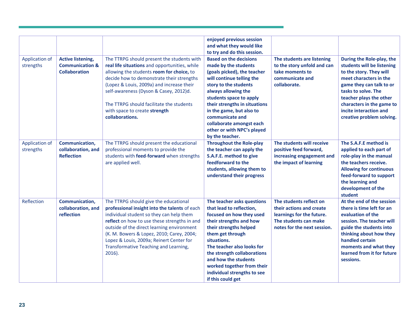|                                    |                                                                                |                                                                                                                                                                                                                                                                                                                                                                                 | enjoyed previous session<br>and what they would like<br>to try and do this session.                                                                                                                                                                                                                                                                       |                                                                                                                                          |                                                                                                                                                                                                                                                                                |
|------------------------------------|--------------------------------------------------------------------------------|---------------------------------------------------------------------------------------------------------------------------------------------------------------------------------------------------------------------------------------------------------------------------------------------------------------------------------------------------------------------------------|-----------------------------------------------------------------------------------------------------------------------------------------------------------------------------------------------------------------------------------------------------------------------------------------------------------------------------------------------------------|------------------------------------------------------------------------------------------------------------------------------------------|--------------------------------------------------------------------------------------------------------------------------------------------------------------------------------------------------------------------------------------------------------------------------------|
| <b>Application of</b><br>strengths | <b>Active listening,</b><br><b>Communication &amp;</b><br><b>Collaboration</b> | The TTRPG should present the students with<br>real life situations and opportunities, while<br>allowing the students room for choice, to<br>decide how to demonstrate their strengths<br>(Lopez & Louis, 2009a) and increase their<br>self-awareness (Dyson & Casey, 2012)d.<br>The TTRPG should facilitate the students<br>with space to create strength<br>collaborations.    | <b>Based on the decisions</b><br>made by the students<br>(goals picked), the teacher<br>will continue telling the<br>story to the students<br>always allowing the<br>students space to apply<br>their strengths in situations<br>in the game, but also to<br>communicate and<br>collaborate amongst each<br>other or with NPC's played<br>by the teacher. | The students are listening<br>to the story unfold and can<br>take moments to<br>communicate and<br>collaborate.                          | During the Role-play, the<br>students will be listening<br>to the story. They will<br>meet characters in the<br>game they can talk to or<br>tasks to solve. The<br>teacher plays the other<br>characters in the game to<br>incite interaction and<br>creative problem solving. |
| Application of<br>strengths        | Communication,<br>collaboration, and<br><b>Reflection</b>                      | The TTRPG should present the educational<br>professional moments to provide the<br>students with feed-forward when strengths<br>are applied well.                                                                                                                                                                                                                               | <b>Throughout the Role-play</b><br>the teacher can apply the<br>S.A.F.E. method to give<br>feedforward to the<br>students, allowing them to<br>understand their progress                                                                                                                                                                                  | The students will receive<br>positive feed forward,<br>increasing engagement and<br>the impact of learning                               | The S.A.F.E method is<br>applied to each part of<br>role-play in the manual<br>the teachers receive.<br><b>Allowing for continuous</b><br>feed-forward to support<br>the learning and<br>development of the<br>student                                                         |
| Reflection                         | Communication,<br>collaboration, and<br>reflection                             | The TTRPG should give the educational<br>professional insight into the talents of each<br>individual student so they can help them<br>reflect on how to use these strengths in and<br>outside of the direct learning environment<br>(K. M. Bowers & Lopez, 2010; Carey, 2004;<br>Lopez & Louis, 2009a; Reinert Center for<br>Transformative Teaching and Learning,<br>$2016$ ). | The teacher asks questions<br>that lead to reflection,<br>focused on how they used<br>their strengths and how<br>their strengths helped<br>them get through<br>situations.<br>The teacher also looks for<br>the strength collaborations<br>and how the students<br>worked together from their<br>individual strengths to see<br>if this could get         | The students reflect on<br>their actions and create<br>learnings for the future.<br>The students can make<br>notes for the next session. | At the end of the session<br>there is time left for an<br>evaluation of the<br>session. The teacher will<br>guide the students into<br>thinking about how they<br>handled certain<br>moments and what they<br>learned from it for future<br>sessions.                          |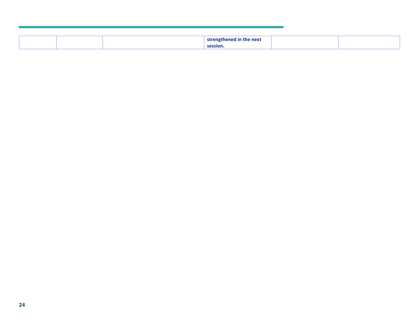|  | e next<br>ctr.<br>nathanad<br>l In the |  |
|--|----------------------------------------|--|
|  | session.                               |  |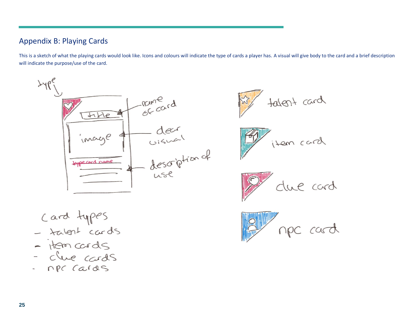### Appendix B: Playing Cards

This is a sketch of what the playing cards would look like. Icons and colours will indicate the type of cards a player has. A visual will give body to the card and a brief description will indicate the purpose/use of the card.

<span id="page-24-0"></span>

tatent card





npc cards  $\overline{\phantom{a}}$ 

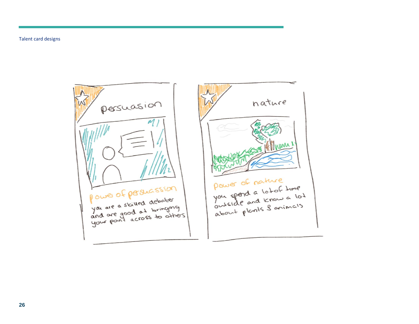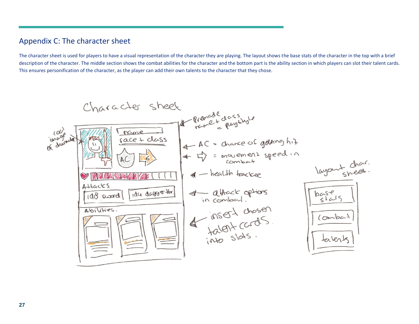### Appendix C: The character sheet

The character sheet is used for players to have a visual representation of the character they are playing. The layout shows the base stats of the character in the top with a brief description of the character. The middle section shows the combat abilities for the character and the bottom part is the ability section in which players can slot their talent cards. This ensures personification of the character, as the player can add their own talents to the character that they chose.

<span id="page-26-0"></span>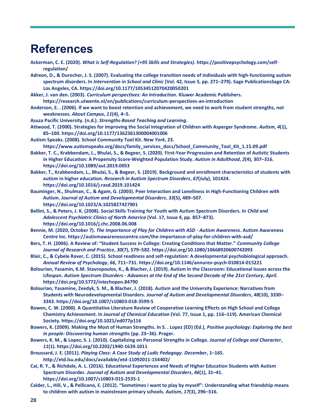## <span id="page-27-0"></span>**References**

- **Ackerman, C. E. (2020).** *What is Self-Regulation? (+95 Skills and Strategies)***. https://positivepsychology.com/selfregulation/**
- **Adreon, D., & Durocher, J. S. (2007). Evaluating the college transition needs of individuals with high-functioning autism spectrum disorders. In** *Intervention in School and Clinic* **(Vol. 42, Issue 5, pp. 271–279). Sage PublicationsSage CA: Los Angeles, CA. https://doi.org/10.1177/10534512070420050201**
- **Akker, J. van den. (2003).** *Curriculum perspectives: An introduction***. Kluwer Academic Publishers.**
- **https://research.utwente.nl/en/publications/curriculum-perspectives-an-introduction**
- **Anderson, E. . (2006). If we want to boost retention and achievement, we need to work from student strengths, not weaknesses.** *About Campus***,** *11***(4), 4–5.**
- **Asuza Pacific University. (n.d.).** *Strengths-Based Teaching and Learning***.**
- **Attwood, T. (2000). Strategies for Improving the Social Integration of Children with Asperger Syndrome.** *Autism***,** *4***(1), 85–100. https://doi.org/10.1177/1362361300004001006**
- **Autism Speaks. (2008). School Community Tool Kit.** *New York***, 23. https://www.autismspeaks.org/docs/family\_services\_docs/School\_Community\_Tool\_Kit\_1.15.09.pdf**
- **Bakker, T. C., Krabbendam, L., Bhulai, S., & Begeer, S. (2020). First-Year Progression and Retention of Autistic Students in Higher Education: A Propensity Score-Weighted Population Study.** *Autism in Adulthood***,** *2***(4), 307–316. https://doi.org/10.1089/aut.2019.0053**
- **Bakker, T., Krabbendam, L., Bhulai, S., & Begeer, S. (2019). Background and enrollment characteristics of students with autism in higher education.** *Research in Autism Spectrum Disorders***,** *67***(July), 101424. https://doi.org/10.1016/j.rasd.2019.101424**
- **Bauminger, N., Shulman, C., & Agam, G. (2003). Peer Interaction and Loneliness in High-Functioning Children with Autism.** *Journal of Autism and Developmental Disorders***,** *33***(5), 489–507. https://doi.org/10.1023/A:1025827427901**
- **Bellini, S., & Peters, J. K. (2008). Social Skills Training for Youth with Autism Spectrum Disorders. In** *Child and Adolescent Psychiatric Clinics of North America* **(Vol. 17, Issue 4, pp. 857–873). https://doi.org/10.1016/j.chc.2008.06.008**
- **Bennie, M. (2020, October 7).** *The Importance of Play for Children with ASD - Autism Awareness***. Autism Awareness Centre Inc. https://autismawarenesscentre.com/the-importance-of-play-for-children-with-asd/**
- **Bers, T. H. (2006). A Review of: "Student Success in College: Creating Conditions that Matter."** *Community College Journal of Research and Practice***,** *30***(7), 579–582. https://doi.org/10.1080/10668920600742093**
- **Blair, C., & Cybele Raver, C. (2015). School readiness and self-regulation: A developmental psychobiological approach.**  *Annual Review of Psychology***,** *66***, 711–731. https://doi.org/10.1146/annurev-psych-010814-015221**
- **Bolourian, Yasamin, K.M. Stavropoulos, K., & Blacher, J. (2019). Autism in the Classroom: Educational Issues across the Lifespan.** *Autism Spectrum Disorders - Advances at the End of the Second Decade of the 21st Century***,** *April***. https://doi.org/10.5772/intechopen.84790**
- **Bolourian, Yasamine, Zeedyk, S. M., & Blacher, J. (2018). Autism and the University Experience: Narratives from Students with Neurodevelopmental Disorders.** *Journal of Autism and Developmental Disorders***,** *48***(10), 3330– 3343. https://doi.org/10.1007/s10803-018-3599-5**
- **Bowen, C. W. (2000). A Quantitative Literature Review of Cooperative Learning Effects on High School and College Chemistry Achievement. In** *Journal of Chemical Education* **(Vol. 77, Issue 1, pp. 116–119). American Chemical Society. https://doi.org/10.1021/ed077p116**
- **Bowers, K. (2009). Making the Most of Human Strengths. In S. . Lopez (ED) (Ed.),** *Positive psychology: Exploring the best in people: Discovering human strengths* **(pp. 23–36). Prager.**
- **Bowers, K. M., & Lopez, S. J. (2010). Capitalizing on Personal Strengths in College.** *Journal of College and Character***,**  *11***(1). https://doi.org/10.2202/1940-1639.1011**
- **Broussard, J. E. (2011).** *Playing Class: A Case Study of Ludic Pedagogy***.** *December***, 1–165. http://etd.lsu.edu/docs/available/etd-11092011-154402/**
- **Cai, R. Y., & Richdale, A. L. (2016). Educational Experiences and Needs of Higher Education Students with Autism Spectrum Disorder.** *Journal of Autism and Developmental Disorders***,** *46***(1), 31–41. https://doi.org/10.1007/s10803-015-2535-1**
- **Calder, L., Hill, V., & Pellicano, E. (2012). "Sometimes i want to play by myself": Understanding what friendship means to children with autism in mainstream primary schools.** *Autism***,** *17***(3), 296–316.**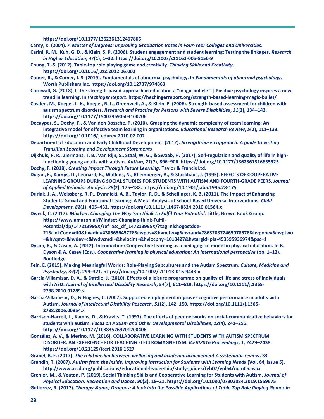**https://doi.org/10.1177/1362361312467866**

**Carey, K. (2004).** *A Matter of Degrees: Improving Graduation Rates in Four-Year Colleges and Universities***.**

- **Carini, R. M., Kuh, G. D., & Klein, S. P. (2006). Student engagement and student learning: Testing the linkages.** *Research in Higher Education***,** *47***(1), 1–32. https://doi.org/10.1007/s11162-005-8150-9**
- **Chung, T.-S. (2012). Table-top role playing game and creativity.** *Thinking Skills and Creativity***. https://doi.org/10.1016/j.tsc.2012.06.002**
- **Comer, R., & Comer, J. S. (2019). Fundamentals of abnormal psychology. In** *Fundamentals of abnormal psychology***. Worth Publishers Inc. https://doi.org/10.12737/974663**
- **Cornwall, G. (2018). Is the strength-based approach in education a "magic bullet?" | Positive psychology inspires a new trend in learning. In** *Hechinger Report***. https://hechingerreport.org/strength-based-learning-magic-bullet/**
- **Cosden, M., Koegel, L. K., Koegel, R. L., Greenwell, A., & Klein, E. (2006). Strength-based assessment for children with autism spectrum disorders.** *Research and Practice for Persons with Severe Disabilities***,** *31***(2), 134–143. https://doi.org/10.1177/154079690603100206**
- **Decuyper, S., Dochy, F., & Van den Bossche, P. (2010). Grasping the dynamic complexity of team learning: An integrative model for effective team learning in organisations.** *Educational Research Review***,** *5***(2), 111–133. https://doi.org/10.1016/j.edurev.2010.02.002**
- **Department of Education and Early Childhood Development. (2012).** *Strength-based approach: A guide to writing Transition Learning and Development Statements***.**
- **Dijkhuis, R. R., Ziermans, T. B., Van Rijn, S., Staal, W. G., & Swaab, H. (2017). Self-regulation and quality of life in highfunctioning young adults with autism.** *Autism***,** *21***(7), 896–906. https://doi.org/10.1177/1362361316655525**
- **Dochy, F. (2018).** *Creating Impact Through Future Learning***. Taylor & Francis Ltd.**
- **Dugan, E., Kamps, D., Leonard, B., Watkins, N., Rheinberger, A., & Stackhaus, J. (1995). EFFECTS OF COOPERATIVE LEARNING GROUPS DURING SOCIAL STUDIES FOR STUDENTS WITH AUTISM AND FOURTH-GRADE PEERS.** *Journal of Applied Behavior Analysis***,** *28***(2), 175–188. https://doi.org/10.1901/jaba.1995.28-175**
- **Durlak, J. A., Weissberg, R. P., Dymnicki, A. B., Taylor, R. D., & Schellinger, K. B. (2011). The Impact of Enhancing Students' Social and Emotional Learning: A Meta-Analysis of School-Based Universal Interventions.** *Child Development***,** *82***(1), 405–432. https://doi.org/10.1111/j.1467-8624.2010.01564.x**
- **Dweck, C. (2017).** *Mindset: Changing The Way You think To Fulfil Your Potential***. Little, Brown Book Group. https://www.amazon.nl/Mindset-Changing-think-Fulfil-Potential/dp/147213995X/ref=asc\_df\_147213995X/?tag=nlshogostdde-21&linkCode=df0&hvadid=430565645728&hvpos=&hvnetw=g&hvrand=786320872465078578&hvpone=&hvptwo**
	- **=&hvqmt=&hvdev=c&hvdvcmdl=&hvlocint=&hvlocphy=1010427&hvtargid=pla-453595936974&psc=1**
- **Dyson, B., & Casey, A. (2012). Introduction: Cooperative learning as a pedagogical model in physical education. In B. Dyson & A. Casey (Eds.),** *Cooperative learning in physical education: An international perspective* **(pp. 1–12). Routledge.**
- **Fein, E. (2015). Making Meaningful Worlds: Role-Playing Subcultures and the Autism Spectrum.** *Culture, Medicine and Psychiatry***,** *39***(2), 299–321. https://doi.org/10.1007/s11013-015-9443-x**
- **García-Villamisar, D. A., & Dattilo, J. (2010). Effects of a leisure programme on quality of life and stress of individuals with ASD.** *Journal of Intellectual Disability Research***,** *54***(7), 611–619. https://doi.org/10.1111/j.1365- 2788.2010.01289.x**
- **García-Villamisar, D., & Hughes, C. (2007). Supported employment improves cognitive performance in adults with Autism.** *Journal of Intellectual Disability Research***,** *51***(2), 142–150. https://doi.org/10.1111/j.1365- 2788.2006.00854.x**
- **Garrison-Harrell, L., Kamps, D., & Kravits, T. (1997). The effects of peer networks on social-communicative behaviors for students with autism.** *Focus on Autism and Other Developmental Disabilities***,** *12***(4), 241–256. https://doi.org/10.1177/108835769701200406**
- **González, A. V., & Merino, M. (2016). COLLABORATIVE LEARNING WITH STUDENTS WITH AUTISM SPECTRUM DISORDER. AN EXPERIENCE FOR TEACHING ELECTROMAGNETISM.** *ICERI2016 Proceedings***,** *1***, 2429–2438. https://doi.org/10.21125/iceri.2016.1527**
- **Gräbel, B. F. (2017).** *The relationship between wellbeing and academic achievement A systematic review***. 33.**
- **Grandin, T. (2007).** *Autism from the inside: Improving Instruction for Students with Learning Needs* **(Vol. 64, Issue 5). http://www.ascd.org/publications/educational-leadership/study-guides/feb07/vol64/num05.aspx**
- **Grenier, M., & Yeaton, P. (2019). Social Thinking Skills and Cooperative Learning for Students with Autism.** *Journal of Physical Education, Recreation and Dance***,** *90***(3), 18–21. https://doi.org/10.1080/07303084.2019.1559675**
- Gutierrez, R. (2017). *Therapy & amp; Dragons: A look into the Possible Applications of Table Top Role Playing Games in*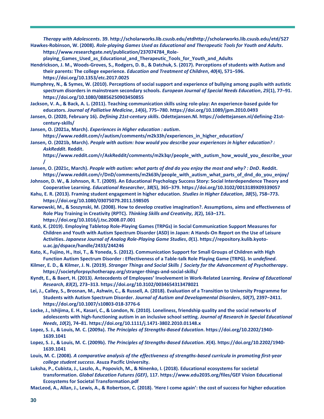*Therapy with Adolescents***. 39. http://scholarworks.lib.csusb.edu/etdhttp://scholarworks.lib.csusb.edu/etd/527 Hawkes-Robinson, W. (2008).** *Role-playing Games Used as Educational and Therapeutic Tools for Youth and Adults***. https://www.researchgate.net/publication/237074784\_Role-**

**playing\_Games\_Used\_as\_Educational\_and\_Therapeutic\_Tools\_for\_Youth\_and\_Adults**

- **Hendrickson, J. M., Woods-Groves, S., Rodgers, D. B., & Datchuk, S. (2017). Perceptions of students with Autism and their parents: The college experience.** *Education and Treatment of Children***,** *40***(4), 571–596. https://doi.org/10.1353/etc.2017.0025**
- **Humphrey, N., & Symes, W. (2010). Perceptions of social support and experience of bullying among pupils with autistic spectrum disorders in mainstream secondary schools.** *European Journal of Special Needs Education***,** *25***(1), 77–91. https://doi.org/10.1080/08856250903450855**

**Jackson, V. A., & Back, A. L. (2011). Teaching communication skills using role-play: An experience-based guide for educators.** *Journal of Palliative Medicine***,** *14***(6), 775–780. https://doi.org/10.1089/jpm.2010.0493**

- **Jansen, O. (2020, February 16).** *Defining 21st-century skills***. Odettejansen.Nl. https://odettejansen.nl/defining-21stcentury-skills/**
- **Jansen, O. (2021a, March).** *Experiences in Higher education : autism***. https://www.reddit.com/r/autism/comments/m2k33h/experiences\_in\_higher\_education/**

**Jansen, O. (2021b, March).** *People with autism: how would you describe your experiences in higher education? : AskReddit***. Reddit.** 

**https://www.reddit.com/r/AskReddit/comments/m2k3qr/people\_with\_autism\_how\_would\_you\_describe\_your /**

- **Jansen, O. (2021c, March).** *People with autism: what parts of dnd do you enjoy the most and why? : DnD***. Reddit. https://www.reddit.com/r/DnD/comments/m2k63h/people\_with\_autism\_what\_parts\_of\_dnd\_do\_you\_enjoy/**
- **Johnson, D. W., & Johnson, R. T. (2009). An Educational Psychology Success Story: Social Interdependence Theory and Cooperative Learning.** *Educational Researcher***,** *38***(5), 365–379. https://doi.org/10.3102/0013189X09339057**
- **Kahu, E. R. (2013). Framing student engagement in higher education.** *Studies in Higher Education***,** *38***(5), 758–773. https://doi.org/10.1080/03075079.2011.598505**
- **Karwowski, M., & Soszynski, M. (2008). How to develop creative imagination?. Assumptions, aims and effectiveness of Role Play Training in Creativity (RPTC).** *Thinking Skills and Creativity***,** *3***(2), 163–171. https://doi.org/10.1016/j.tsc.2008.07.001**
- **Katō, K. (2019). Employing Tabletop Role-Playing Games (TRPGs) in Social Communication Support Measures for Children and Youth with Autism Spectrum Disorder (ASD) in Japan: A Hands-On Report on the Use of Leisure Activities.** *Japanese Journal of Analog Role-Playing Game Studies***,** *0***(1). https://repository.kulib.kyotou.ac.jp/dspace/handle/2433/244246**
- **Kato, K., Fujino, H., Itoi, T., & Yoneda, S. (2012). Communication Support for Small Groups of Children with High Function Autism Spectrum Disorder : Effectiveness of a Table-talk Role Playing Game (TRPG). In** *undefined***.**
- **Kilmer, E. D., & Kilmer, J. N. (2019).** *Stranger Things and Social Skills | Society for the Advancement of Psychotherapy***. https://societyforpsychotherapy.org/stranger-things-and-social-skills/**
- **Kyndt, E., & Baert, H. (2013). Antecedents of Employees' Involvement in Work-Related Learning.** *Review of Educational Research***,** *83***(2), 273–313. https://doi.org/10.3102/0034654313478021**
- **Lei, J., Calley, S., Brosnan, M., Ashwin, C., & Russell, A. (2018). Evaluation of a Transition to University Programme for Students with Autism Spectrum Disorder.** *Journal of Autism and Developmental Disorders***,** *50***(7), 2397–2411. https://doi.org/10.1007/s10803-018-3776-6**
- **Locke, J., Ishijima, E. H., Kasari, C., & London, N. (2010). Loneliness, friendship quality and the social networks of adolescents with high-functioning autism in an inclusive school setting.** *Journal of Research in Special Educational Needs***,** *10***(2), 74–81. https://doi.org/10.1111/j.1471-3802.2010.01148.x**
- **Lopez, S. J., & Louis, M. C. (2009a).** *The Principles of Strengths-Based Education***. https://doi.org/10.2202/1940- 1639.1041**
- **Lopez, S. J., & Louis, M. C. (2009b).** *The Principles of Strengths-Based Education***.** *X***(4). https://doi.org/10.2202/1940- 1639.1041**
- **Louis, M. C. (2008).** *A comparative analysis of the effectiveness of strengths-based curricula in promoting first-year college student success***. Asuza Pacific University.**
- **Luksha, P., Cubista, J., Laszlo, A., Popovich, M., & Ninenko, I. (2018). Educational ecosystems for societal transformation.** *Global Education Futures (GEF)***, 117. https://www.edu2035.org/files/GEF Vision Educational Ecosystems for Societal Transformation.pdf**

**MacLeod, A., Allan, J., Lewis, A., & Robertson, C. (2018). 'Here I come again': the cost of success for higher education**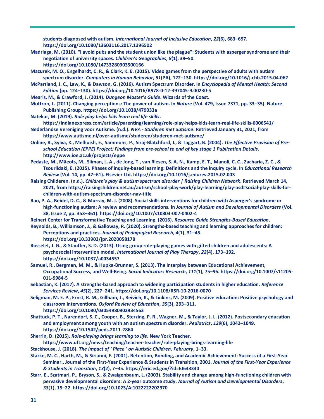**students diagnosed with autism.** *International Journal of Inclusive Education***,** *22***(6), 683–697. https://doi.org/10.1080/13603116.2017.1396502**

- **Madriaga, M. (2010). "I avoid pubs and the student union like the plague": Students with asperger syndrome and their negotiation of university spaces.** *Children's Geographies***,** *8***(1), 39–50. https://doi.org/10.1080/14733280903500166**
- **Mazurek, M. O., Engelhardt, C. R., & Clark, K. E. (2015). Video games from the perspective of adults with autism spectrum disorder.** *Computers in Human Behavior***,** *51***(PA), 122–130. https://doi.org/10.1016/j.chb.2015.04.062**
- **McPartland, J. C., Law, K., & Dawson, G. (2016). Autism Spectrum Disorder. In** *Encyclopedia of Mental Health: Second Edition* **(pp. 124–130). https://doi.org/10.1016/B978-0-12-397045-9.00230-5**
- **Mearls, M., & Crawford, J. (2014).** *Dungeon Master's Guide***. Wizards of the Coast.**
- **Mottron, L. (2011). Changing perceptions: The power of autism. In** *Nature* **(Vol. 479, Issue 7371, pp. 33–35). Nature Publishing Group. https://doi.org/10.1038/479033a**
- **Natekar, M. (2019).** *Role play helps kids learn real life skills***.**
- **https://indianexpress.com/article/parenting/learning/role-play-helps-kids-learn-real-life-skills-6006541/**
- **Nederlandse Vereniging voor Autisme. (n.d.).** *NVA - Studeren met autisme***. Retrieved January 31, 2021, from https://www.autisme.nl/over-autisme/studeren/studeren-met-autisme/**
- **Online, R., Sylva, K., Melhuish, E., Sammons, P., Siraj-Blatchford, I., & Taggart, B. (2004).** *The Effective Provision of Preschool Education (EPPE) Project: Findings from pre-school to end of key stage 1 Publication Details***. http://www.ioe.ac.uk/projects/eppe**
- **Pedaste, M., Mäeots, M., Siiman, L. A., de Jong, T., van Riesen, S. A. N., Kamp, E. T., Manoli, C. C., Zacharia, Z. C., & Tsourlidaki, E. (2015). Phases of inquiry-based learning: Definitions and the inquiry cycle. In** *Educational Research Review* **(Vol. 14, pp. 47–61). Elsevier Ltd. https://doi.org/10.1016/j.edurev.2015.02.003**
- **Raising Childeren. (n.d.).** *Children's play & autism spectrum disorder | Raising Children Network***. Retrieved March 14, 2021, from https://raisingchildren.net.au/autism/school-play-work/play-learning/play-asd#social-play-skills-forchildren-with-autism-spectrum-disorder-nav-title**
- **Rao, P. A., Beidel, D. C., & Murray, M. J. (2008). Social skills interventions for children with Asperger's syndrome or high-functioning autism: A review and recommendations. In** *Journal of Autism and Developmental Disorders* **(Vol. 38, Issue 2, pp. 353–361). https://doi.org/10.1007/s10803-007-0402-4**
- **Reinert Center for Transformative Teaching and Learning. (2016).** *Resource Guide Strengths-Based Education***.**
- **Reynolds, B., Williamson, J., & Galloway, R. (2020). Strengths-based teaching and learning approaches for children: Perceptions and practices.** *Journal of Pedagogical Research***,** *4***(1), 31–45. https://doi.org/10.33902/jpr.2020058178**
- **Rosselet, J. G., & Stauffer, S. D. (2013). Using group role-playing games with gifted children and adolescents: A psychosocial intervention model.** *International Journal of Play Therapy***,** *22***(4), 173–192. https://doi.org/10.1037/a0034557**
- **Samuel, R., Bergman, M. M., & Hupka-Brunner, S. (2013). The Interplay between Educational Achievement, Occupational Success, and Well-Being.** *Social Indicators Research***,** *111***(1), 75–96. https://doi.org/10.1007/s11205- 011-9984-5**
- **Sebastian, K. (2017). A strengths-based approach to widening participation students in higher education.** *Reference Services Review***,** *45***(2), 227–241. https://doi.org/10.1108/RSR-10-2016-0070**
- **Seligman, M. E. P., Ernst, R. M., Gillham, J., Reivich, K., & Linkins, M. (2009). Positive education: Positive psychology and classroom interventions.** *Oxford Review of Education***,** *35***(3), 293–311. https://doi.org/10.1080/03054980902934563**
- **Shattuck, P. T., Narendorf, S. C., Cooper, B., Sterzing, P. R., Wagner, M., & Taylor, J. L. (2012). Postsecondary education and employment among youth with an autism spectrum disorder.** *Pediatrics***,** *129***(6), 1042–1049. https://doi.org/10.1542/peds.2011-2864**
- **Sherrin, D. (2015).** *Role-playing brings learning to life***. New York Teacher. https://www.uft.org/news/teaching/teacher-teacher/role-playing-brings-learning-life**
- **Stackhouse, J. (2018).** *The Impact of ' Place ' on Autistic Children***.** *February***, 1–33.**
- **Starke, M. C., Harth, M., & Sirianni, F. (2001). Retention, Bonding, and Academic Achievement: Success of a First-Year Seminar., Journal of the First-Year Experience & Students in Transition, 2001.** *Journal of the First-Year Experience & Students in Transition***,** *13***(2), 7–35. https://eric.ed.gov/?id=EJ643340**
- **Starr, E., Szatmari, P., Bryson, S., & Zwaigenbaum, L. (2003). Stability and change among high-functioning children with pervasive developmental disorders: A 2-year outcome study.** *Journal of Autism and Developmental Disorders***,**  *33***(1), 15–22. https://doi.org/10.1023/A:1022222202970**